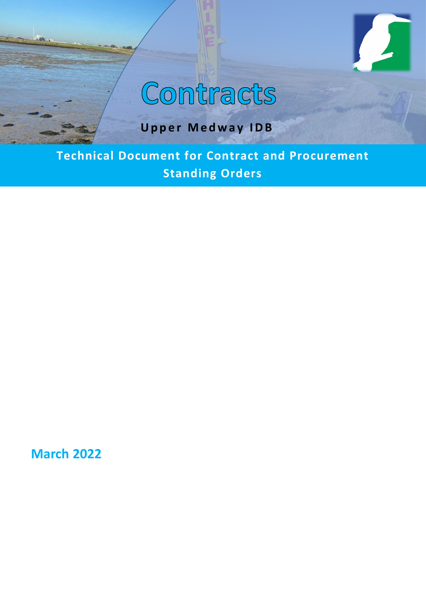

# Contracts

## **Upper Medway IDB**

**Technical Document for Contract and Procurement Standing Orders**

**March 2022**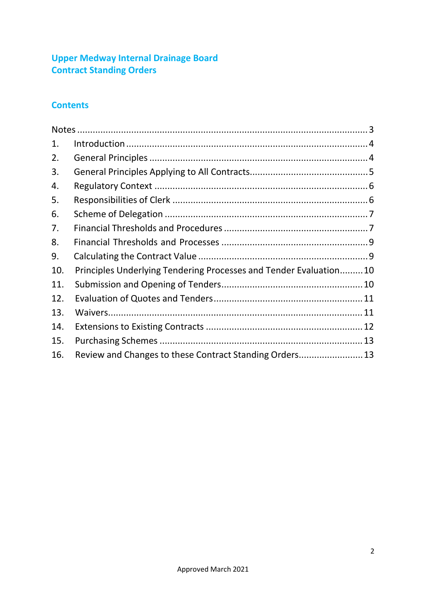## **Upper Medway Internal Drainage Board Contract Standing Orders**

## **Contents**

| 1.  |                                                                    |  |
|-----|--------------------------------------------------------------------|--|
| 2.  |                                                                    |  |
| 3.  |                                                                    |  |
| 4.  |                                                                    |  |
| 5.  |                                                                    |  |
| 6.  |                                                                    |  |
| 7.  |                                                                    |  |
| 8.  |                                                                    |  |
| 9.  |                                                                    |  |
| 10. | Principles Underlying Tendering Processes and Tender Evaluation 10 |  |
| 11. |                                                                    |  |
| 12. |                                                                    |  |
| 13. |                                                                    |  |
| 14. |                                                                    |  |
| 15. |                                                                    |  |
| 16. | Review and Changes to these Contract Standing Orders 13            |  |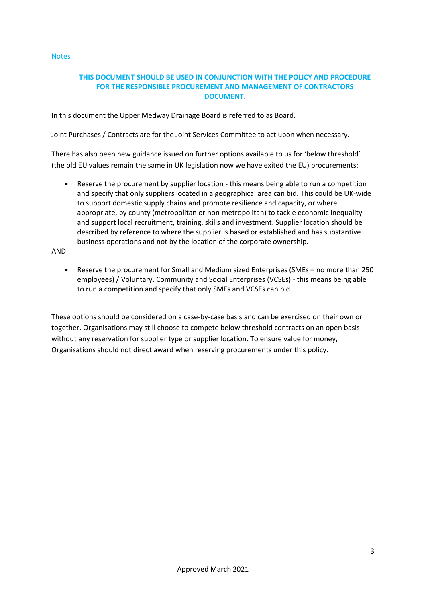<span id="page-2-0"></span>**Notes** 

## **THIS DOCUMENT SHOULD BE USED IN CONJUNCTION WITH THE POLICY AND PROCEDURE FOR THE RESPONSIBLE PROCUREMENT AND MANAGEMENT OF CONTRACTORS DOCUMENT.**

In this document the Upper Medway Drainage Board is referred to as Board.

Joint Purchases / Contracts are for the Joint Services Committee to act upon when necessary.

There has also been new guidance issued on further options available to us for 'below threshold' (the old EU values remain the same in UK legislation now we have exited the EU) procurements:

Reserve the procurement by supplier location - this means being able to run a competition and specify that only suppliers located in a geographical area can bid. This could be UK-wide to support domestic supply chains and promote resilience and capacity, or where appropriate, by county (metropolitan or non-metropolitan) to tackle economic inequality and support local recruitment, training, skills and investment. Supplier location should be described by reference to where the supplier is based or established and has substantive business operations and not by the location of the corporate ownership.

AND

• Reserve the procurement for Small and Medium sized Enterprises (SMEs – no more than 250 employees) / Voluntary, Community and Social Enterprises (VCSEs) - this means being able to run a competition and specify that only SMEs and VCSEs can bid.

These options should be considered on a case-by-case basis and can be exercised on their own or together. Organisations may still choose to compete below threshold contracts on an open basis without any reservation for supplier type or supplier location. To ensure value for money, Organisations should not direct award when reserving procurements under this policy.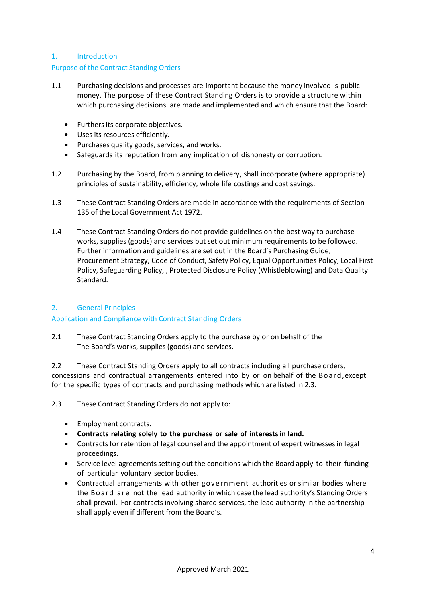## <span id="page-3-0"></span>1. Introduction

## Purpose of the Contract Standing Orders

- 1.1 Purchasing decisions and processes are important because the money involved is public money. The purpose of these Contract Standing Orders is to provide a structure within which purchasing decisions are made and implemented and which ensure that the Board:
	- Furthers its corporate objectives.
	- Uses its resources efficiently.
	- Purchases quality goods, services, and works.
	- Safeguards its reputation from any implication of dishonesty or corruption.
- 1.2 Purchasing by the Board, from planning to delivery, shall incorporate (where appropriate) principles of sustainability, efficiency, whole life costings and cost savings.
- 1.3 These Contract Standing Orders are made in accordance with the requirements of Section 135 of the Local Government Act 1972.
- 1.4 These Contract Standing Orders do not provide guidelines on the best way to purchase works, supplies (goods) and services but set out minimum requirements to be followed. Further information and guidelines are set out in the Board's Purchasing Guide, Procurement Strategy, Code of Conduct, Safety Policy, Equal Opportunities Policy, Local First Policy, Safeguarding Policy, , Protected Disclosure Policy (Whistleblowing) and Data Quality Standard.

## <span id="page-3-1"></span>2. General Principles

## Application and Compliance with Contract Standing Orders

2.1 These Contract Standing Orders apply to the purchase by or on behalf of the The Board's works, supplies (goods) and services.

2.2 These Contract Standing Orders apply to all contracts including all purchase orders, concessions and contractual arrangements entered into by or on behalf of the Board,except for the specific types of contracts and purchasing methods which are listed in 2.3.

2.3 These Contract Standing Orders do not apply to:

- Employment contracts.
- **Contracts relating solely to the purchase or sale of interestsin land.**
- Contracts for retention of legal counsel and the appointment of expert witnesses in legal proceedings.
- Service level agreements setting out the conditions which the Board apply to their funding of particular voluntary sector bodies.
- Contractual arrangements with other government authorities or similar bodies where the Board are not the lead authority in which case the lead authority's Standing Orders shall prevail. For contracts involving shared services, the lead authority in the partnership shall apply even if different from the Board's.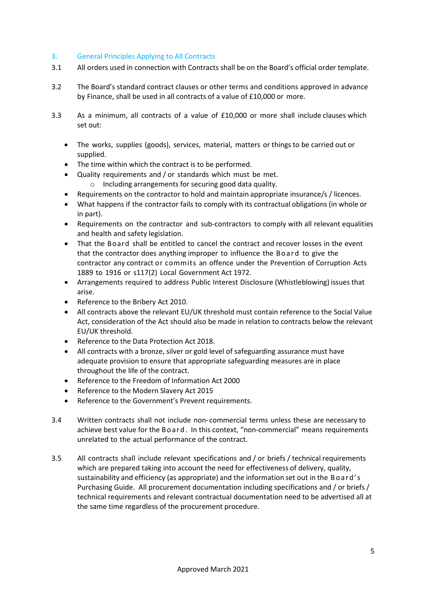## <span id="page-4-0"></span>3. General Principles Applying to All Contracts

- 3.1 All orders used in connection with Contracts shall be on the Board's official order template.
- 3.2 The Board's standard contract clauses or other terms and conditions approved in advance by Finance, shall be used in all contracts of a value of £10,000 or more.
- 3.3 As a minimum, all contracts of a value of £10,000 or more shall include clauses which set out:
	- The works, supplies (goods), services, material, matters or things to be carried out or supplied.
	- The time within which the contract is to be performed.
	- Quality requirements and / or standards which must be met. o Including arrangements for securing good data quality.
	- Requirements on the contractor to hold and maintain appropriate insurance/s / licences.
	- What happens if the contractor fails to comply with its contractual obligations (in whole or in part).
	- Requirements on the contractor and sub-contractors to comply with all relevant equalities and health and safety legislation.
	- That the Board shall be entitled to cancel the contract and recover losses in the event that the contractor does anything improper to influence the Board to give the contractor any contract or commits an offence under the Prevention of Corruption Acts 1889 to 1916 or s117(2) Local Government Act 1972.
	- Arrangements required to address Public Interest Disclosure (Whistleblowing) issues that arise.
	- Reference to the Bribery Act 2010.
	- All contracts above the relevant EU/UK threshold must contain reference to the Social Value Act, consideration of the Act should also be made in relation to contracts below the relevant EU/UK threshold.
	- Reference to the Data Protection Act 2018.
	- All contracts with a bronze, silver or gold level of safeguarding assurance must have adequate provision to ensure that appropriate safeguarding measures are in place throughout the life of the contract.
	- Reference to the Freedom of Information Act 2000
	- Reference to the Modern Slavery Act 2015
	- Reference to the Government's Prevent requirements.
- 3.4 Written contracts shall not include non-commercial terms unless these are necessary to achieve best value for the Board. In this context, "non-commercial" means requirements unrelated to the actual performance of the contract.
- 3.5 All contracts shall include relevant specifications and / or briefs / technical requirements which are prepared taking into account the need for effectiveness of delivery, quality, sustainability and efficiency (as appropriate) and the information set out in the Board's Purchasing Guide. All procurement documentation including specifications and / or briefs / technical requirements and relevant contractual documentation need to be advertised all at the same time regardless of the procurement procedure.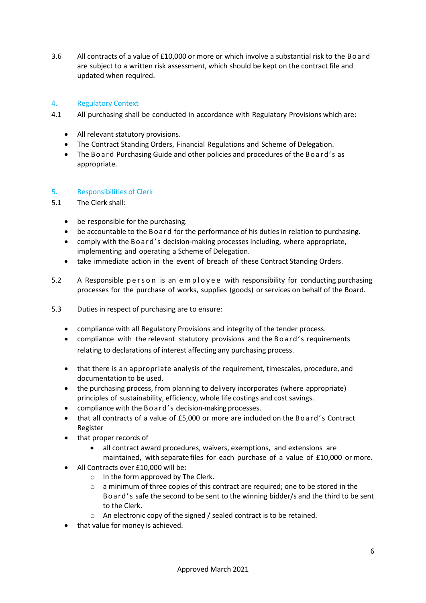3.6 All contracts of a value of £10,000 or more or which involve a substantial risk to the Board are subject to a written risk assessment, which should be kept on the contract file and updated when required.

## <span id="page-5-0"></span>4. Regulatory Context

- 4.1 All purchasing shall be conducted in accordance with Regulatory Provisions which are:
	- All relevant statutory provisions.
	- The Contract Standing Orders, Financial Regulations and Scheme of Delegation.
	- The Board Purchasing Guide and other policies and procedures of the Board's as appropriate.

## <span id="page-5-1"></span>5. Responsibilities of Clerk

- 5.1 The Clerk shall:
	- be responsible for the purchasing.
	- be accountable to the Board for the performance of his duties in relation to purchasing.
	- comply with the Board's decision-making processes including, where appropriate, implementing and operating a Scheme of Delegation.
	- take immediate action in the event of breach of these Contract Standing Orders.
- 5.2 A Responsible person is an employee with responsibility for conducting purchasing processes for the purchase of works, supplies (goods) or services on behalf of the Board.
- 5.3 Duties in respect of purchasing are to ensure:
	- compliance with all Regulatory Provisions and integrity of the tender process.
	- compliance with the relevant statutory provisions and the Board's requirements relating to declarations of interest affecting any purchasing process.
	- that there is an appropriate analysis of the requirement, timescales, procedure, and documentation to be used.
	- the purchasing process, from planning to delivery incorporates (where appropriate) principles of sustainability, efficiency, whole life costings and cost savings.
	- compliance with the Board's decision-making processes.
	- that all contracts of a value of £5,000 or more are included on the Board's Contract Register
	- that proper records of
		- all contract award procedures, waivers, exemptions, and extensions are maintained, with separate files for each purchase of a value of £10,000 or more.
	- All Contracts over £10,000 will be:
		- o In the form approved by The Clerk.
		- o a minimum of three copies of this contract are required; one to be stored in the Board's safe the second to be sent to the winning bidder/s and the third to be sent to the Clerk.
		- o An electronic copy of the signed / sealed contract is to be retained.
	- that value for money is achieved.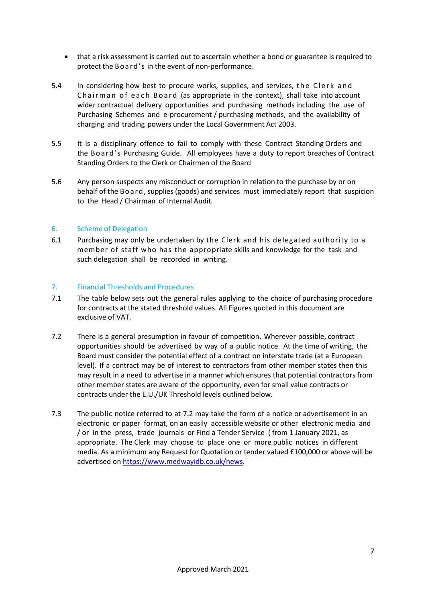- that a risk assessment is carried out to ascertain whether a bond or guarantee is required to protect the Board's in the event of non-performance.
- 5.4 In considering how best to procure works, supplies, and services, the Clerk and Chairman of each Board (as appropriate in the context), shall take into account wider contractual delivery opportunities and purchasing methods including the use of Purchasing Schemes and e-procurement / purchasing methods, and the availability of charging and trading powers under the Local Government Act 2003.
- 5.5 It is a disciplinary offence to fail to comply with these Contract Standing Orders and the Board's Purchasing Guide. All employees have a duty to report breaches of Contract Standing Orders to the Clerk or Chairmen of the Board
- 5.6 Any person suspects any misconduct or corruption in relation to the purchase by or on behalf of the Board, supplies (goods) and services must immediately report that suspicion to the Head / Chairman of Internal Audit*.*

## <span id="page-6-0"></span>6. Scheme of Delegation

6.1 Purchasing may only be undertaken by the Clerk and his delegated authority to a member of staff who has the appropriate skills and knowledge for the task and such delegation shall be recorded in writing.

## <span id="page-6-1"></span>7. Financial Thresholds and Procedures

- 7.1 The table below sets out the general rules applying to the choice of purchasing procedure for contracts at the stated threshold values. All Figures quoted in this document are exclusive of VAT.
- 7.2 There is a general presumption in favour of competition. Wherever possible, contract opportunities should be advertised by way of a public notice. At the time of writing, the Board must consider the potential effect of a contract on interstate trade (at a European level). If a contract may be of interest to contractors from other member states then this may result in a need to advertise in a manner which ensures that potential contractors from other member states are aware of the opportunity, even for small value contracts or contracts under the E.U./UK Threshold levels outlined below.
- 7.3 The public notice referred to at 7.2 may take the form of a notice or advertisement in an electronic or paper format, on an easily accessible website or other electronic media and / or in the press, trade journals or Find a Tender Service ( from 1 January 2021, as appropriate. The Clerk may choose to place one or more public notices in different media. As a minimum any Request for Quotation or tender valued £100,000 or above will be advertised on [https://www.medwayidb.co.uk/news.](https://www.medwayidb.co.uk/news)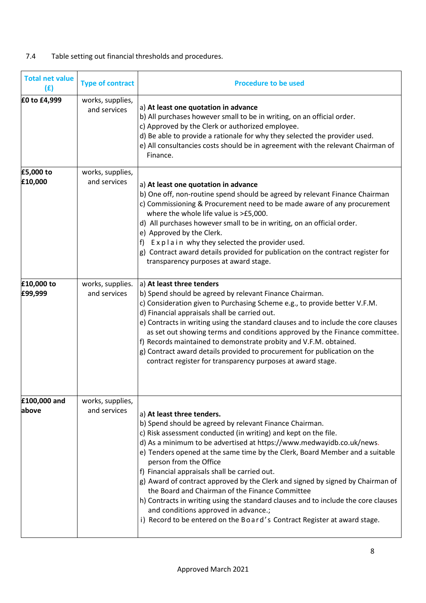## 7.4 Table setting out financial thresholds and procedures.

| <b>Total net value</b><br>(E) | <b>Type of contract</b>          | <b>Procedure to be used</b>                                                                                                                                                                                                                                                                                                                                                                                                                                                                                                                                                                                                                                                                                                                 |
|-------------------------------|----------------------------------|---------------------------------------------------------------------------------------------------------------------------------------------------------------------------------------------------------------------------------------------------------------------------------------------------------------------------------------------------------------------------------------------------------------------------------------------------------------------------------------------------------------------------------------------------------------------------------------------------------------------------------------------------------------------------------------------------------------------------------------------|
| £0 to £4,999                  | works, supplies,<br>and services | a) At least one quotation in advance<br>b) All purchases however small to be in writing, on an official order.<br>c) Approved by the Clerk or authorized employee.<br>d) Be able to provide a rationale for why they selected the provider used.<br>e) All consultancies costs should be in agreement with the relevant Chairman of<br>Finance.                                                                                                                                                                                                                                                                                                                                                                                             |
| £5,000 to<br>£10,000          | works, supplies,<br>and services | a) At least one quotation in advance<br>b) One off, non-routine spend should be agreed by relevant Finance Chairman<br>c) Commissioning & Procurement need to be made aware of any procurement<br>where the whole life value is >£5,000.<br>d) All purchases however small to be in writing, on an official order.<br>e) Approved by the Clerk.<br>f) Explain why they selected the provider used.<br>g) Contract award details provided for publication on the contract register for<br>transparency purposes at award stage.                                                                                                                                                                                                              |
| £10,000 to<br>£99,999         | works, supplies.<br>and services | a) At least three tenders<br>b) Spend should be agreed by relevant Finance Chairman.<br>c) Consideration given to Purchasing Scheme e.g., to provide better V.F.M.<br>d) Financial appraisals shall be carried out.<br>e) Contracts in writing using the standard clauses and to include the core clauses<br>as set out showing terms and conditions approved by the Finance committee.<br>f) Records maintained to demonstrate probity and V.F.M. obtained.<br>g) Contract award details provided to procurement for publication on the<br>contract register for transparency purposes at award stage.                                                                                                                                     |
| £100,000 and<br>above         | works, supplies,<br>and services | a) At least three tenders.<br>b) Spend should be agreed by relevant Finance Chairman.<br>c) Risk assessment conducted (in writing) and kept on the file.<br>d) As a minimum to be advertised at https://www.medwayidb.co.uk/news.<br>e) Tenders opened at the same time by the Clerk, Board Member and a suitable<br>person from the Office<br>f) Financial appraisals shall be carried out.<br>g) Award of contract approved by the Clerk and signed by signed by Chairman of<br>the Board and Chairman of the Finance Committee<br>h) Contracts in writing using the standard clauses and to include the core clauses<br>and conditions approved in advance.;<br>i) Record to be entered on the Board's Contract Register at award stage. |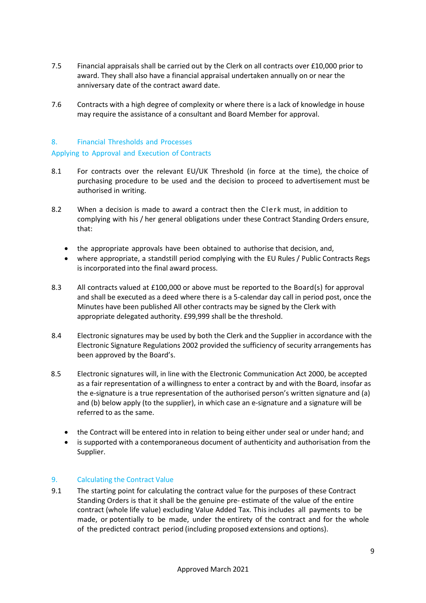- 7.5 Financial appraisals shall be carried out by the Clerk on all contracts over £10,000 prior to award. They shall also have a financial appraisal undertaken annually on or near the anniversary date of the contract award date.
- 7.6 Contracts with a high degree of complexity or where there is a lack of knowledge in house may require the assistance of a consultant and Board Member for approval.

## <span id="page-8-0"></span>8. Financial Thresholds and Processes

## Applying to Approval and Execution of Contracts

- 8.1 For contracts over the relevant EU/UK Threshold (in force at the time), the choice of purchasing procedure to be used and the decision to proceed to advertisement must be authorised in writing.
- 8.2 When a decision is made to award a contract then the Clerk must, in addition to complying with his / her general obligations under these Contract Standing Orders ensure, that:
	- the appropriate approvals have been obtained to authorise that decision, and,
	- where appropriate, a standstill period complying with the EU Rules / Public Contracts Regs is incorporated into the final award process.
- 8.3 All contracts valued at £100,000 or above must be reported to the Board(s) for approval and shall be executed as a deed where there is a 5-calendar day call in period post, once the Minutes have been published All other contracts may be signed by the Clerk with appropriate delegated authority. £99,999 shall be the threshold.
- 8.4 Electronic signatures may be used by both the Clerk and the Supplier in accordance with the Electronic Signature Regulations 2002 provided the sufficiency of security arrangements has been approved by the Board's.
- 8.5 Electronic signatures will, in line with the Electronic Communication Act 2000, be accepted as a fair representation of a willingness to enter a contract by and with the Board, insofar as the e-signature is a true representation of the authorised person's written signature and (a) and (b) below apply (to the supplier), in which case an e-signature and a signature will be referred to as the same.
	- the Contract will be entered into in relation to being either under seal or under hand; and
	- is supported with a contemporaneous document of authenticity and authorisation from the Supplier.

## <span id="page-8-1"></span>9. Calculating the Contract Value

9.1 The starting point for calculating the contract value for the purposes of these Contract Standing Orders is that it shall be the genuine pre- estimate of the value of the entire contract (whole life value) excluding Value Added Tax. This includes all payments to be made, or potentially to be made, under the entirety of the contract and for the whole of the predicted contract period (including proposed extensions and options).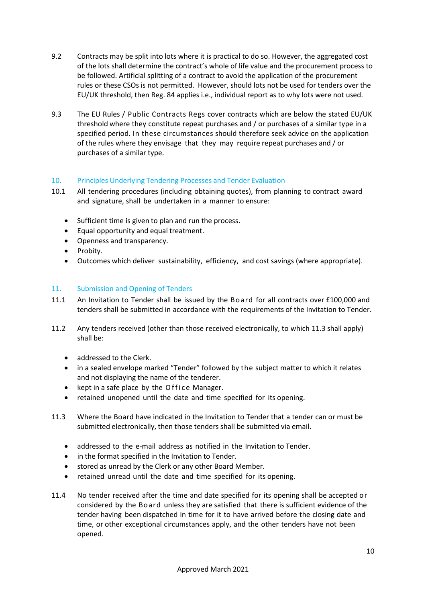- 9.2 Contracts may be split into lots where it is practical to do so. However, the aggregated cost of the lots shall determine the contract's whole of life value and the procurement process to be followed. Artificial splitting of a contract to avoid the application of the procurement rules or these CSOs is not permitted. However, should lots not be used for tenders over the EU/UK threshold, then Reg. 84 applies i.e., individual report as to why lots were not used.
- 9.3 The EU Rules / Public Contracts Regs cover contracts which are below the stated EU/UK threshold where they constitute repeat purchases and / or purchases of a similar type in a specified period. In these circumstances should therefore seek advice on the application of the rules where they envisage that they may require repeat purchases and / or purchases of a similar type.

## <span id="page-9-0"></span>10. Principles Underlying Tendering Processes and Tender Evaluation

- 10.1 All tendering procedures (including obtaining quotes), from planning to contract award and signature, shall be undertaken in a manner to ensure:
	- Sufficient time is given to plan and run the process.
	- Equal opportunity and equal treatment.
	- Openness and transparency.
	- Probity.
	- Outcomes which deliver sustainability, efficiency, and cost savings (where appropriate).

## <span id="page-9-1"></span>11. Submission and Opening of Tenders

- 11.1 An Invitation to Tender shall be issued by the Board for all contracts over £100,000 and tenders shall be submitted in accordance with the requirements of the Invitation to Tender.
- 11.2 Any tenders received (other than those received electronically, to which 11.3 shall apply) shall be:
	- addressed to the Clerk.
	- in a sealed envelope marked "Tender" followed by the subject matter to which it relates and not displaying the name of the tenderer.
	- kept in a safe place by the Office Manager.
	- retained unopened until the date and time specified for its opening.
- 11.3 Where the Board have indicated in the Invitation to Tender that a tender can or must be submitted electronically, then those tenders shall be submitted via email.
	- addressed to the e-mail address as notified in the Invitation to Tender.
	- in the format specified in the Invitation to Tender.
	- stored as unread by the Clerk or any other Board Member.
	- retained unread until the date and time specified for its opening.
- 11.4 No tender received after the time and date specified for its opening shall be accepted or considered by the Board unless they are satisfied that there is sufficient evidence of the tender having been dispatched in time for it to have arrived before the closing date and time, or other exceptional circumstances apply, and the other tenders have not been opened.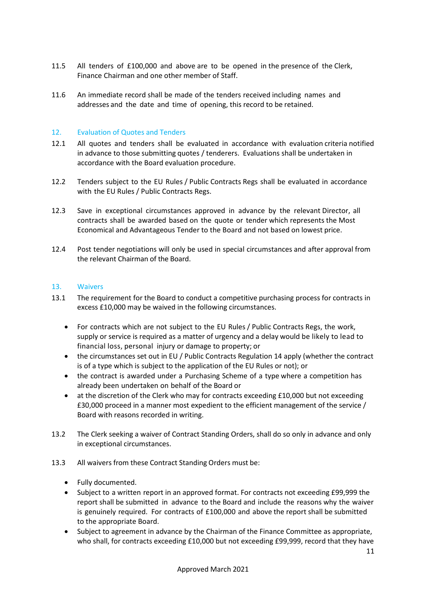- 11.5 All tenders of £100,000 and above are to be opened in the presence of the Clerk, Finance Chairman and one other member of Staff.
- 11.6 An immediate record shall be made of the tenders received including names and addresses and the date and time of opening, this record to be retained.

## <span id="page-10-0"></span>12. Evaluation of Quotes and Tenders

- 12.1 All quotes and tenders shall be evaluated in accordance with evaluation criteria notified in advance to those submitting quotes / tenderers. Evaluations shall be undertaken in accordance with the Board evaluation procedure.
- 12.2 Tenders subject to the EU Rules / Public Contracts Regs shall be evaluated in accordance with the EU Rules / Public Contracts Regs.
- 12.3 Save in exceptional circumstances approved in advance by the relevant Director, all contracts shall be awarded based on the quote or tender which represents the Most Economical and Advantageous Tender to the Board and not based on lowest price.
- 12.4 Post tender negotiations will only be used in special circumstances and after approval from the relevant Chairman of the Board.

## <span id="page-10-1"></span>13. Waivers

- 13.1 The requirement for the Board to conduct a competitive purchasing process for contracts in excess £10,000 may be waived in the following circumstances.
	- For contracts which are not subject to the EU Rules / Public Contracts Regs, the work, supply or service is required as a matter of urgency and a delay would be likely to lead to financial loss, personal injury or damage to property; or
	- the circumstances set out in EU / Public Contracts Regulation 14 apply (whether the contract is of a type which is subject to the application of the EU Rules or not); or
	- the contract is awarded under a Purchasing Scheme of a type where a competition has already been undertaken on behalf of the Board or
	- at the discretion of the Clerk who may for contracts exceeding £10,000 but not exceeding £30,000 proceed in a manner most expedient to the efficient management of the service / Board with reasons recorded in writing.
- 13.2 The Clerk seeking a waiver of Contract Standing Orders, shall do so only in advance and only in exceptional circumstances.
- 13.3 All waivers from these Contract Standing Orders must be:
	- Fully documented.
	- Subject to a written report in an approved format. For contracts not exceeding £99,999 the report shall be submitted in advance to the Board and include the reasons why the waiver is genuinely required. For contracts of £100,000 and above the report shall be submitted to the appropriate Board.
	- Subject to agreement in advance by the Chairman of the Finance Committee as appropriate, who shall, for contracts exceeding £10,000 but not exceeding £99,999, record that they have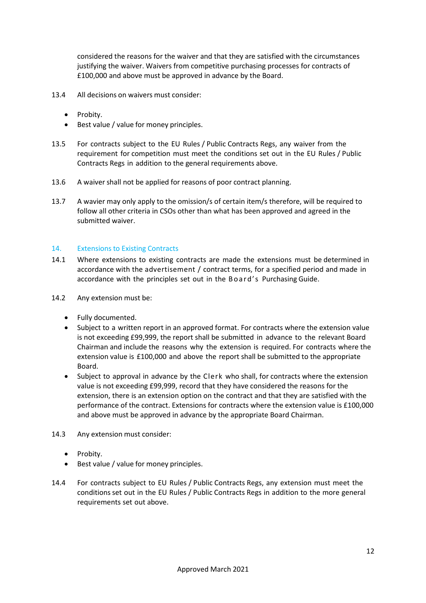considered the reasons for the waiver and that they are satisfied with the circumstances justifying the waiver. Waivers from competitive purchasing processes for contracts of £100,000 and above must be approved in advance by the Board.

- 13.4 All decisions on waivers must consider:
	- Probity.
	- Best value / value for money principles.
- 13.5 For contracts subject to the EU Rules / Public Contracts Regs, any waiver from the requirement for competition must meet the conditions set out in the EU Rules / Public Contracts Regs in addition to the general requirements above.
- 13.6 A waiver shall not be applied for reasons of poor contract planning.
- 13.7 A wavier may only apply to the omission/s of certain item/s therefore, will be required to follow all other criteria in CSOs other than what has been approved and agreed in the submitted waiver.

### <span id="page-11-0"></span>14. Extensions to Existing Contracts

- 14.1 Where extensions to existing contracts are made the extensions must be determined in accordance with the advertisement / contract terms, for a specified period and made in accordance with the principles set out in the Board's Purchasing Guide.
- 14.2 Any extension must be:
	- Fully documented.
	- Subject to a written report in an approved format. For contracts where the extension value is not exceeding £99,999, the report shall be submitted in advance to the relevant Board Chairman and include the reasons why the extension is required. For contracts where the extension value is £100,000 and above the report shall be submitted to the appropriate Board.
	- Subject to approval in advance by the Clerk who shall, for contracts where the extension value is not exceeding £99,999, record that they have considered the reasons for the extension, there is an extension option on the contract and that they are satisfied with the performance of the contract. Extensions for contracts where the extension value is £100,000 and above must be approved in advance by the appropriate Board Chairman.
- 14.3 Any extension must consider:
	- Probity.
	- Best value / value for money principles.
- 14.4 For contracts subject to EU Rules / Public Contracts Regs, any extension must meet the conditions set out in the EU Rules / Public Contracts Regs in addition to the more general requirements set out above.